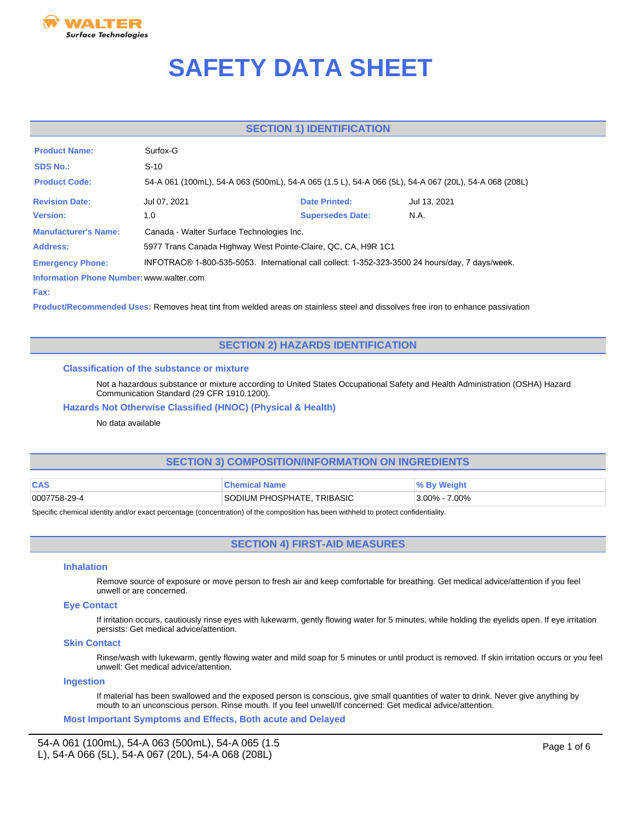

# **SAFETY DATA SHEET**

# **SECTION 1) IDENTIFICATION**

| <b>Product Name:</b>                     | Surfox-G                                                                                        |                                                                                                      |              |
|------------------------------------------|-------------------------------------------------------------------------------------------------|------------------------------------------------------------------------------------------------------|--------------|
| <b>SDS No.:</b>                          | $S-10$                                                                                          |                                                                                                      |              |
| <b>Product Code:</b>                     |                                                                                                 | 54-A 061 (100mL), 54-A 063 (500mL), 54-A 065 (1.5 L), 54-A 066 (5L), 54-A 067 (20L), 54-A 068 (208L) |              |
| <b>Revision Date:</b>                    | Jul 07, 2021                                                                                    | <b>Date Printed:</b>                                                                                 | Jul 13, 2021 |
| <b>Version:</b>                          | 1.0                                                                                             | <b>Supersedes Date:</b>                                                                              | N.A.         |
| <b>Manufacturer's Name:</b>              | Canada - Walter Surface Technologies Inc.                                                       |                                                                                                      |              |
| Address:                                 | 5977 Trans Canada Highway West Pointe-Claire, QC, CA, H9R 1C1                                   |                                                                                                      |              |
| <b>Emergency Phone:</b>                  | INFOTRAC® 1-800-535-5053. International call collect: 1-352-323-3500 24 hours/day, 7 days/week. |                                                                                                      |              |
| Information Phone Number: www.walter.com |                                                                                                 |                                                                                                      |              |

#### **Fax:**

**Product/Recommended Uses:** Removes heat tint from welded areas on stainless steel and dissolves free iron to enhance passivation

# **SECTION 2) HAZARDS IDENTIFICATION**

## **Classification of the substance or mixture**

Not a hazardous substance or mixture according to United States Occupational Safety and Health Administration (OSHA) Hazard Communication Standard (29 CFR 1910.1200).

# **Hazards Not Otherwise Classified (HNOC) (Physical & Health)**

# No data available

# **SECTION 3) COMPOSITION/INFORMATION ON INGREDIENTS**

| <b>CAS</b>   | <b>≅hemical Name</b>       | <sup>⊎</sup> % By Weight |
|--------------|----------------------------|--------------------------|
| 0007758-29-4 | SODIUM PHOSPHATE, TRIBASIC | $3.00\% - 7.00\%$        |

Specific chemical identity and/or exact percentage (concentration) of the composition has been withheld to protect confidentiality.

# **SECTION 4) FIRST-AID MEASURES**

#### **Inhalation**

Remove source of exposure or move person to fresh air and keep comfortable for breathing. Get medical advice/attention if you feel unwell or are concerned.

## **Eye Contact**

If irritation occurs, cautiously rinse eyes with lukewarm, gently flowing water for 5 minutes, while holding the eyelids open. If eye irritation persists: Get medical advice/attention.

#### **Skin Contact**

Rinse/wash with lukewarm, gently flowing water and mild soap for 5 minutes or until product is removed. If skin irritation occurs or you feel unwell: Get medical advice/attention.

## **Ingestion**

If material has been swallowed and the exposed person is conscious, give small quantities of water to drink. Never give anything by mouth to an unconscious person. Rinse mouth. If you feel unwell/If concerned: Get medical advice/attention.

**Most Important Symptoms and Effects, Both acute and Delayed**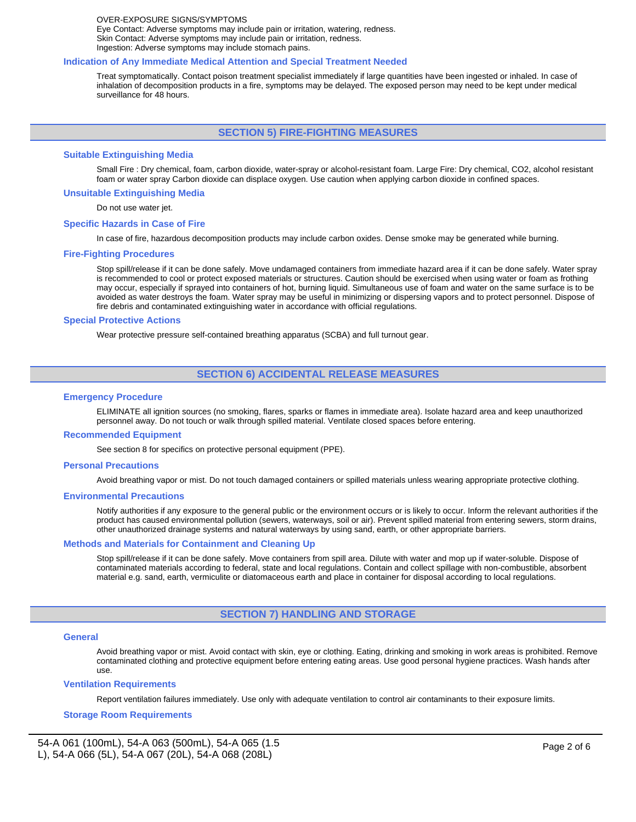#### OVER-EXPOSURE SIGNS/SYMPTOMS Eye Contact: Adverse symptoms may include pain or irritation, watering, redness. Skin Contact: Adverse symptoms may include pain or irritation, redness. Ingestion: Adverse symptoms may include stomach pains.

#### **Indication of Any Immediate Medical Attention and Special Treatment Needed**

Treat symptomatically. Contact poison treatment specialist immediately if large quantities have been ingested or inhaled. In case of inhalation of decomposition products in a fire, symptoms may be delayed. The exposed person may need to be kept under medical surveillance for 48 hours.

## **SECTION 5) FIRE-FIGHTING MEASURES**

#### **Suitable Extinguishing Media**

Small Fire : Dry chemical, foam, carbon dioxide, water-spray or alcohol-resistant foam. Large Fire: Dry chemical, CO2, alcohol resistant foam or water spray Carbon dioxide can displace oxygen. Use caution when applying carbon dioxide in confined spaces.

#### **Unsuitable Extinguishing Media**

Do not use water jet.

#### **Specific Hazards in Case of Fire**

In case of fire, hazardous decomposition products may include carbon oxides. Dense smoke may be generated while burning.

#### **Fire-Fighting Procedures**

Stop spill/release if it can be done safely. Move undamaged containers from immediate hazard area if it can be done safely. Water spray is recommended to cool or protect exposed materials or structures. Caution should be exercised when using water or foam as frothing may occur, especially if sprayed into containers of hot, burning liquid. Simultaneous use of foam and water on the same surface is to be avoided as water destroys the foam. Water spray may be useful in minimizing or dispersing vapors and to protect personnel. Dispose of fire debris and contaminated extinguishing water in accordance with official regulations.

#### **Special Protective Actions**

Wear protective pressure self-contained breathing apparatus (SCBA) and full turnout gear.

# **SECTION 6) ACCIDENTAL RELEASE MEASURES**

#### **Emergency Procedure**

ELIMINATE all ignition sources (no smoking, flares, sparks or flames in immediate area). Isolate hazard area and keep unauthorized personnel away. Do not touch or walk through spilled material. Ventilate closed spaces before entering.

#### **Recommended Equipment**

See section 8 for specifics on protective personal equipment (PPE).

#### **Personal Precautions**

Avoid breathing vapor or mist. Do not touch damaged containers or spilled materials unless wearing appropriate protective clothing.

#### **Environmental Precautions**

Notify authorities if any exposure to the general public or the environment occurs or is likely to occur. Inform the relevant authorities if the product has caused environmental pollution (sewers, waterways, soil or air). Prevent spilled material from entering sewers, storm drains, other unauthorized drainage systems and natural waterways by using sand, earth, or other appropriate barriers.

#### **Methods and Materials for Containment and Cleaning Up**

Stop spill/release if it can be done safely. Move containers from spill area. Dilute with water and mop up if water-soluble. Dispose of contaminated materials according to federal, state and local regulations. Contain and collect spillage with non-combustible, absorbent material e.g. sand, earth, vermiculite or diatomaceous earth and place in container for disposal according to local regulations.

## **SECTION 7) HANDLING AND STORAGE**

#### **General**

Avoid breathing vapor or mist. Avoid contact with skin, eye or clothing. Eating, drinking and smoking in work areas is prohibited. Remove contaminated clothing and protective equipment before entering eating areas. Use good personal hygiene practices. Wash hands after use.

#### **Ventilation Requirements**

Report ventilation failures immediately. Use only with adequate ventilation to control air contaminants to their exposure limits.

### **Storage Room Requirements**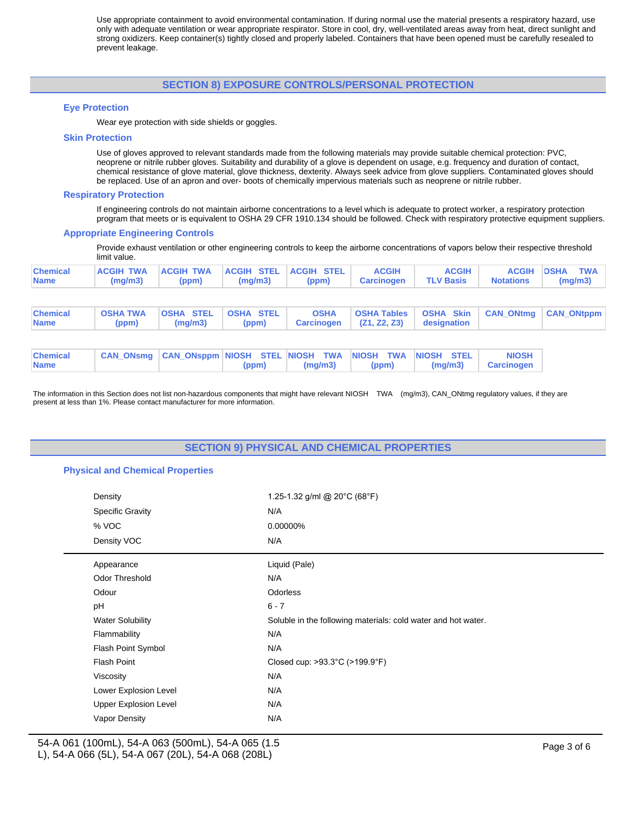Use appropriate containment to avoid environmental contamination. If during normal use the material presents a respiratory hazard, use only with adequate ventilation or wear appropriate respirator. Store in cool, dry, well-ventilated areas away from heat, direct sunlight and strong oxidizers. Keep container(s) tightly closed and properly labeled. Containers that have been opened must be carefully resealed to prevent leakage.

# **SECTION 8) EXPOSURE CONTROLS/PERSONAL PROTECTION**

#### **Eye Protection**

Wear eye protection with side shields or goggles.

#### **Skin Protection**

Use of gloves approved to relevant standards made from the following materials may provide suitable chemical protection: PVC, neoprene or nitrile rubber gloves. Suitability and durability of a glove is dependent on usage, e.g. frequency and duration of contact, chemical resistance of glove material, glove thickness, dexterity. Always seek advice from glove suppliers. Contaminated gloves should be replaced. Use of an apron and over- boots of chemically impervious materials such as neoprene or nitrile rubber.

#### **Respiratory Protection**

If engineering controls do not maintain airborne concentrations to a level which is adequate to protect worker, a respiratory protection program that meets or is equivalent to OSHA 29 CFR 1910.134 should be followed. Check with respiratory protective equipment suppliers.

#### **Appropriate Engineering Controls**

Provide exhaust ventilation or other engineering controls to keep the airborne concentrations of vapors below their respective threshold limit value.

| ACGIH TWA ACGIH TWA ACGIH STEL ACGIH STEL ACGIH<br>$ $ Chemical<br>(mg/m3)   (ppm)   (mg/m3)   (ppm)   Carcinogen   TLV-Basis   Notations   (mg/m3)<br><b>Name</b> |  | <b>ACGIH</b> | <b>ACGIH OSHA TWA</b> |
|--------------------------------------------------------------------------------------------------------------------------------------------------------------------|--|--------------|-----------------------|
|--------------------------------------------------------------------------------------------------------------------------------------------------------------------|--|--------------|-----------------------|

| <b>Chemical</b><br><b>Name</b> | <b>OSHA TWA</b><br>(ppm) | <b>OSHA STEL</b><br>(mq/m3)                         | <b>OSHA STEL</b><br>(ppm) | <b>OSHA</b><br>Carcinogen | <b>OSHA Tables</b><br>(Z1, Z2, Z3) | <b>OSHA Skin</b><br>designation | <b>CAN ONtmg</b>                  | <b>CAN ONtppm</b> |
|--------------------------------|--------------------------|-----------------------------------------------------|---------------------------|---------------------------|------------------------------------|---------------------------------|-----------------------------------|-------------------|
|                                |                          |                                                     |                           |                           |                                    |                                 |                                   |                   |
| <b>Chemical</b><br><b>Name</b> |                          | CAN ONsmg CAN ONsppm NIOSH STEL NIOSH TWA NIOSH TWA | (ppm)                     | (mq/m3)                   | (ppm)                              | <b>INIOSH STEL</b><br>(mq/m3)   | <b>NIOSH</b><br><b>Carcinogen</b> |                   |

The information in this Section does not list non-hazardous components that might have relevant NIOSH TWA (mg/m3), CAN\_ONtmg regulatory values, if they are present at less than 1%. Please contact manufacturer for more information.

# **SECTION 9) PHYSICAL AND CHEMICAL PROPERTIES**

#### **Physical and Chemical Properties**

| Density                      | 1.25-1.32 g/ml @ 20°C (68°F)                                  |
|------------------------------|---------------------------------------------------------------|
| <b>Specific Gravity</b>      | N/A                                                           |
| % VOC                        | 0.00000%                                                      |
| Density VOC                  | N/A                                                           |
| Appearance                   | Liquid (Pale)                                                 |
| Odor Threshold               | N/A                                                           |
| Odour                        | <b>Odorless</b>                                               |
| pH                           | $6 - 7$                                                       |
| <b>Water Solubility</b>      | Soluble in the following materials: cold water and hot water. |
| Flammability                 | N/A                                                           |
| Flash Point Symbol           | N/A                                                           |
| <b>Flash Point</b>           | Closed cup: >93.3°C (>199.9°F)                                |
| Viscosity                    | N/A                                                           |
| Lower Explosion Level        | N/A                                                           |
| <b>Upper Explosion Level</b> | N/A                                                           |
| Vapor Density                | N/A                                                           |
|                              |                                                               |

54-A 061 (100mL), 54-A 063 (500mL), 54-A 065 (1.5 L), 54-A 066 (5L), 54-A 067 (20L), 54-A 068 (208L)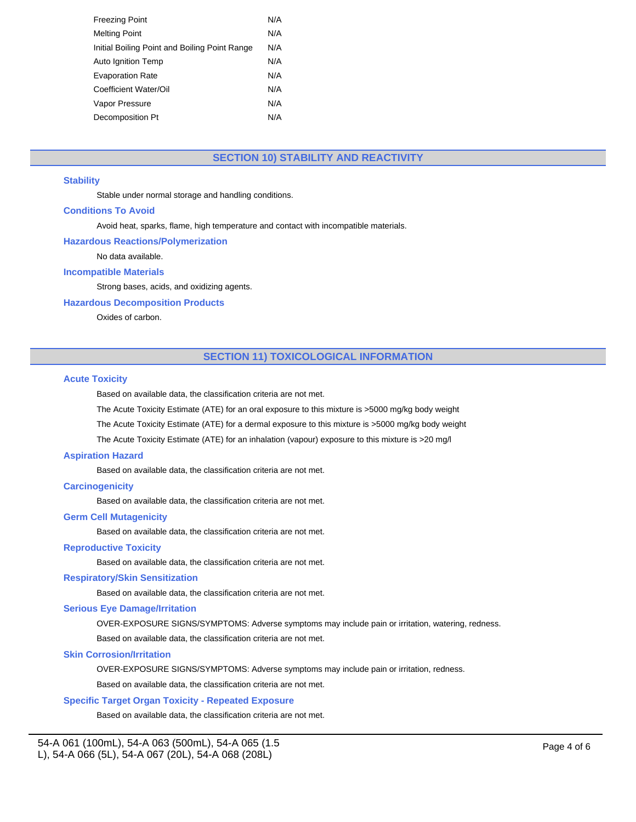| <b>Freezing Point</b>                         | N/A |
|-----------------------------------------------|-----|
| Melting Point                                 | N/A |
| Initial Boiling Point and Boiling Point Range | N/A |
| Auto Ignition Temp                            | N/A |
| <b>Evaporation Rate</b>                       | N/A |
| Coefficient Water/Oil                         | N/A |
| Vapor Pressure                                | N/A |
| Decomposition Pt                              | N/A |
|                                               |     |

# **SECTION 10) STABILITY AND REACTIVITY**

## **Stability**

Stable under normal storage and handling conditions.

## **Conditions To Avoid**

Avoid heat, sparks, flame, high temperature and contact with incompatible materials.

### **Hazardous Reactions/Polymerization**

No data available.

# **Incompatible Materials**

Strong bases, acids, and oxidizing agents.

# **Hazardous Decomposition Products**

Oxides of carbon.

# **SECTION 11) TOXICOLOGICAL INFORMATION**

#### **Acute Toxicity**

Based on available data, the classification criteria are not met.

The Acute Toxicity Estimate (ATE) for an oral exposure to this mixture is >5000 mg/kg body weight

The Acute Toxicity Estimate (ATE) for a dermal exposure to this mixture is >5000 mg/kg body weight

The Acute Toxicity Estimate (ATE) for an inhalation (vapour) exposure to this mixture is >20 mg/l

## **Aspiration Hazard**

Based on available data, the classification criteria are not met.

## **Carcinogenicity**

Based on available data, the classification criteria are not met.

#### **Germ Cell Mutagenicity**

Based on available data, the classification criteria are not met.

## **Reproductive Toxicity**

Based on available data, the classification criteria are not met.

#### **Respiratory/Skin Sensitization**

Based on available data, the classification criteria are not met.

#### **Serious Eye Damage/Irritation**

OVER-EXPOSURE SIGNS/SYMPTOMS: Adverse symptoms may include pain or irritation, watering, redness.

Based on available data, the classification criteria are not met.

#### **Skin Corrosion/Irritation**

OVER-EXPOSURE SIGNS/SYMPTOMS: Adverse symptoms may include pain or irritation, redness.

Based on available data, the classification criteria are not met.

## **Specific Target Organ Toxicity - Repeated Exposure**

Based on available data, the classification criteria are not met.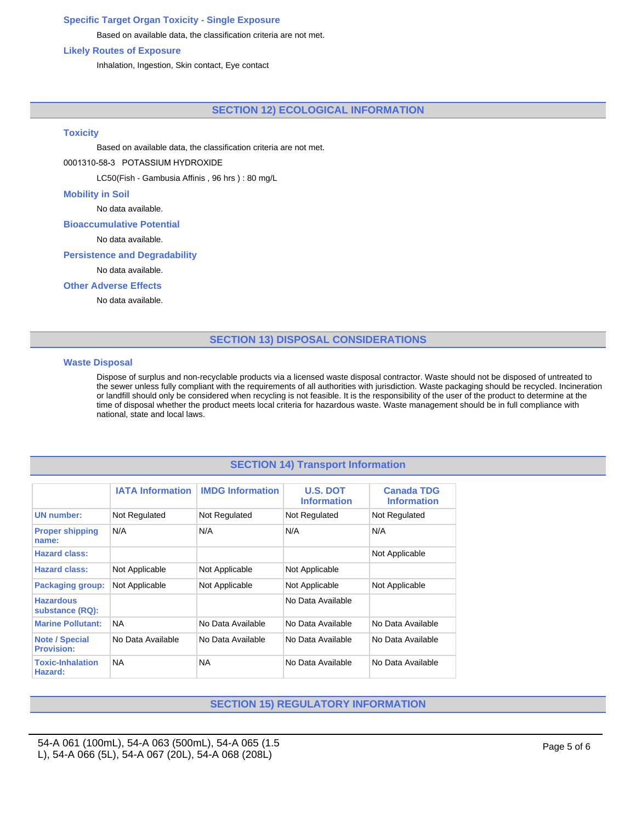# **Specific Target Organ Toxicity - Single Exposure**

Based on available data, the classification criteria are not met.

## **Likely Routes of Exposure**

Inhalation, Ingestion, Skin contact, Eye contact

# **SECTION 12) ECOLOGICAL INFORMATION**

#### **Toxicity**

Based on available data, the classification criteria are not met.

## 0001310-58-3 POTASSIUM HYDROXIDE

LC50(Fish - Gambusia Affinis , 96 hrs ) : 80 mg/L

## **Mobility in Soil**

No data available.

#### **Bioaccumulative Potential**

No data available.

## **Persistence and Degradability**

No data available.

## **Other Adverse Effects**

No data available.

# **SECTION 13) DISPOSAL CONSIDERATIONS**

### **Waste Disposal**

Dispose of surplus and non-recyclable products via a licensed waste disposal contractor. Waste should not be disposed of untreated to the sewer unless fully compliant with the requirements of all authorities with jurisdiction. Waste packaging should be recycled. Incineration or landfill should only be considered when recycling is not feasible. It is the responsibility of the user of the product to determine at the time of disposal whether the product meets local criteria for hazardous waste. Waste management should be in full compliance with national, state and local laws.

# **SECTION 14) Transport Information**

|                                            | <b>IATA Information</b> | <b>IMDG Information</b> | <b>U.S. DOT</b><br><b>Information</b> | <b>Canada TDG</b><br><b>Information</b> |
|--------------------------------------------|-------------------------|-------------------------|---------------------------------------|-----------------------------------------|
| <b>UN number:</b>                          | Not Regulated           | Not Regulated           | Not Regulated                         | Not Regulated                           |
| <b>Proper shipping</b><br>name:            | N/A                     | N/A                     | N/A                                   | N/A                                     |
| <b>Hazard class:</b>                       |                         |                         |                                       | Not Applicable                          |
| <b>Hazard class:</b>                       | Not Applicable          | Not Applicable          | Not Applicable                        |                                         |
| <b>Packaging group:</b>                    | Not Applicable          | Not Applicable          | Not Applicable                        | Not Applicable                          |
| <b>Hazardous</b><br>substance (RQ):        |                         |                         | No Data Available                     |                                         |
| <b>Marine Pollutant:</b>                   | <b>NA</b>               | No Data Available       | No Data Available                     | No Data Available                       |
| <b>Note / Special</b><br><b>Provision:</b> | No Data Available       | No Data Available       | No Data Available                     | No Data Available                       |
| <b>Toxic-Inhalation</b><br>Hazard:         | <b>NA</b>               | <b>NA</b>               | No Data Available                     | No Data Available                       |

# **SECTION 15) REGULATORY INFORMATION**